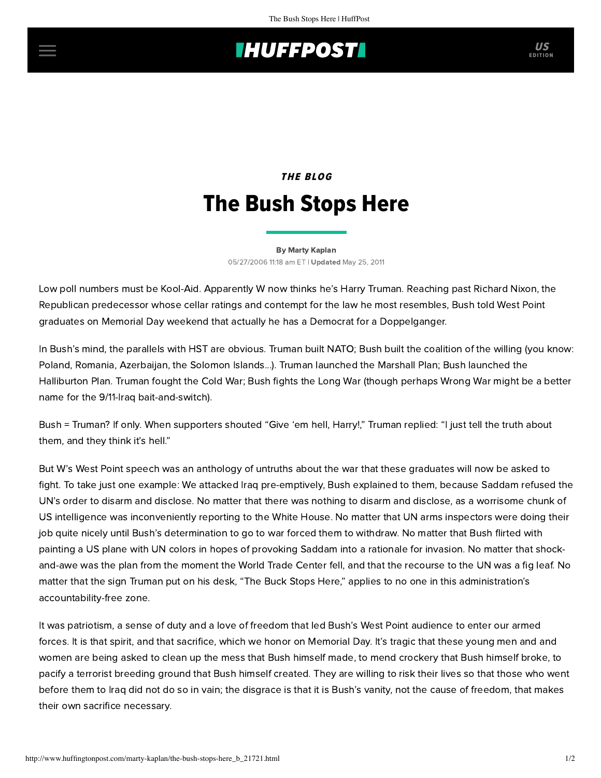## **IHUFFPOSTI** US

## THE BLOG The Bush Stops Here

[By Marty Kaplan](http://www.huffingtonpost.com/author/marty-kaplan) 05/27/2006 11:18 am ET | Updated May 25, 2011

Low poll numbers must be Kool-Aid. Apparently W now thinks he's Harry Truman. Reaching past Richard Nixon, the Republican predecessor whose cellar ratings and contempt for the law he most resembles, Bush told West Point graduates on Memorial Day weekend that actually he has a Democrat for a Doppelganger.

In Bush's mind, the parallels with HST are obvious. Truman built NATO; Bush built the coalition of the willing (you know: Poland, Romania, Azerbaijan, the Solomon Islands...). Truman launched the Marshall Plan; Bush launched the Halliburton Plan. Truman fought the Cold War; Bush fights the Long War (though perhaps Wrong War might be a better name for the 9/11-Iraq bait-and-switch).

Bush = Truman? If only. When supporters shouted "Give 'em hell, Harry!," Truman replied: "I just tell the truth about them, and they think it's hell."

But W's West Point speech was an anthology of untruths about the war that these graduates will now be asked to fight. To take just one example: We attacked Iraq pre-emptively, Bush explained to them, because Saddam refused the UN's order to disarm and disclose. No matter that there was nothing to disarm and disclose, as a worrisome chunk of US intelligence was inconveniently reporting to the White House. No matter that UN arms inspectors were doing their job quite nicely until Bush's determination to go to war forced them to withdraw. No matter that Bush flirted with painting a US plane with UN colors in hopes of provoking Saddam into a rationale for invasion. No matter that shockand-awe was the plan from the moment the World Trade Center fell, and that the recourse to the UN was a fig leaf. No matter that the sign Truman put on his desk, "The Buck Stops Here," applies to no one in this administration's accountability-free zone.

It was patriotism, a sense of duty and a love of freedom that led Bush's West Point audience to enter our armed forces. It is that spirit, and that sacrifice, which we honor on Memorial Day. It's tragic that these young men and and women are being asked to clean up the mess that Bush himself made, to mend crockery that Bush himself broke, to pacify a terrorist breeding ground that Bush himself created. They are willing to risk their lives so that those who went before them to Iraq did not do so in vain; the disgrace is that it is Bush's vanity, not the cause of freedom, that makes their own sacrifice necessary.